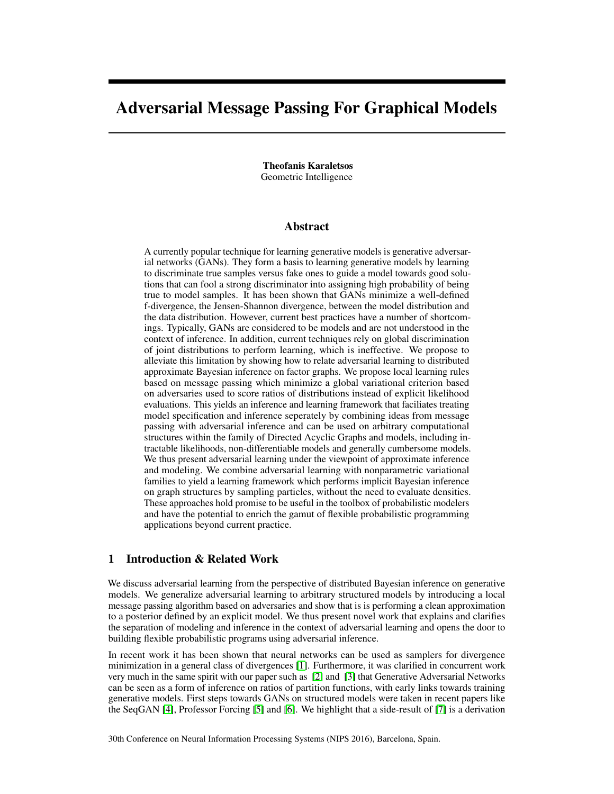# Adversarial Message Passing For Graphical Models

Theofanis Karaletsos Geometric Intelligence

## Abstract

A currently popular technique for learning generative models is generative adversarial networks (GANs). They form a basis to learning generative models by learning to discriminate true samples versus fake ones to guide a model towards good solutions that can fool a strong discriminator into assigning high probability of being true to model samples. It has been shown that GANs minimize a well-defined f-divergence, the Jensen-Shannon divergence, between the model distribution and the data distribution. However, current best practices have a number of shortcomings. Typically, GANs are considered to be models and are not understood in the context of inference. In addition, current techniques rely on global discrimination of joint distributions to perform learning, which is ineffective. We propose to alleviate this limitation by showing how to relate adversarial learning to distributed approximate Bayesian inference on factor graphs. We propose local learning rules based on message passing which minimize a global variational criterion based on adversaries used to score ratios of distributions instead of explicit likelihood evaluations. This yields an inference and learning framework that faciliates treating model specification and inference seperately by combining ideas from message passing with adversarial inference and can be used on arbitrary computational structures within the family of Directed Acyclic Graphs and models, including intractable likelihoods, non-differentiable models and generally cumbersome models. We thus present adversarial learning under the viewpoint of approximate inference and modeling. We combine adversarial learning with nonparametric variational families to yield a learning framework which performs implicit Bayesian inference on graph structures by sampling particles, without the need to evaluate densities. These approaches hold promise to be useful in the toolbox of probabilistic modelers and have the potential to enrich the gamut of flexible probabilistic programming applications beyond current practice.

## 1 Introduction & Related Work

We discuss adversarial learning from the perspective of distributed Bayesian inference on generative models. We generalize adversarial learning to arbitrary structured models by introducing a local message passing algorithm based on adversaries and show that is is performing a clean approximation to a posterior defined by an explicit model. We thus present novel work that explains and clarifies the separation of modeling and inference in the context of adversarial learning and opens the door to building flexible probabilistic programs using adversarial inference.

In recent work it has been shown that neural networks can be used as samplers for divergence minimization in a general class of divergences [\[1\]](#page-4-0). Furthermore, it was clarified in concurrent work very much in the same spirit with our paper such as [\[2\]](#page-4-1) and [\[3\]](#page-4-2) that Generative Adversarial Networks can be seen as a form of inference on ratios of partition functions, with early links towards training generative models. First steps towards GANs on structured models were taken in recent papers like the SeqGAN [\[4\]](#page-4-3), Professor Forcing [\[5\]](#page-4-4) and [\[6\]](#page-4-5). We highlight that a side-result of [\[7\]](#page-4-6) is a derivation

30th Conference on Neural Information Processing Systems (NIPS 2016), Barcelona, Spain.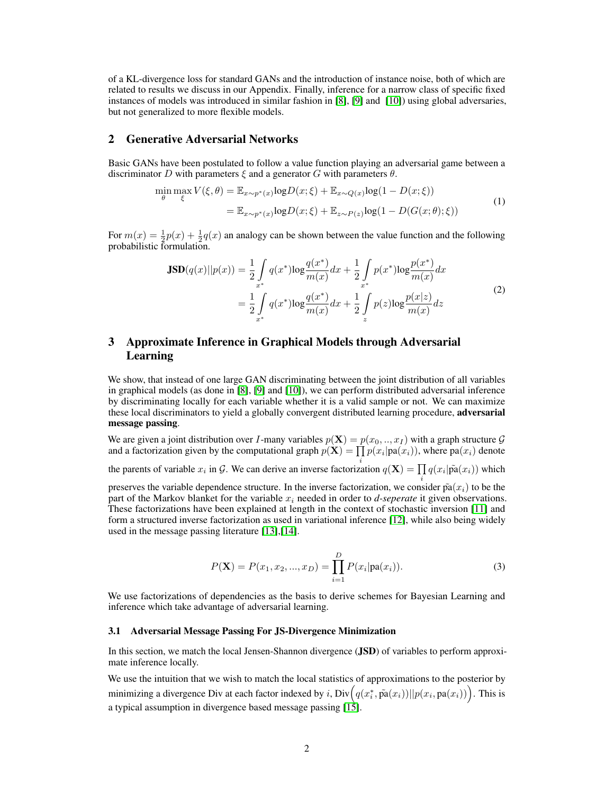of a KL-divergence loss for standard GANs and the introduction of instance noise, both of which are related to results we discuss in our Appendix. Finally, inference for a narrow class of specific fixed instances of models was introduced in similar fashion in [\[8\]](#page-4-7), [\[9\]](#page-4-8) and [\[10\]](#page-4-9)) using global adversaries, but not generalized to more flexible models.

### 2 Generative Adversarial Networks

Basic GANs have been postulated to follow a value function playing an adversarial game between a discriminator D with parameters  $\xi$  and a generator G with parameters  $\theta$ .

$$
\min_{\theta} \max_{\xi} V(\xi, \theta) = \mathbb{E}_{x \sim p^*(x)} \log D(x; \xi) + \mathbb{E}_{x \sim Q(x)} \log (1 - D(x; \xi))
$$
\n
$$
= \mathbb{E}_{x \sim p^*(x)} \log D(x; \xi) + \mathbb{E}_{z \sim P(z)} \log (1 - D(G(x; \theta); \xi))
$$
\n(1)

For  $m(x) = \frac{1}{2}p(x) + \frac{1}{2}q(x)$  an analogy can be shown between the value function and the following probabilistic formulation.

$$
\mathbf{JSD}(q(x)||p(x)) = \frac{1}{2} \int_{x^*} q(x^*) \log \frac{q(x^*)}{m(x)} dx + \frac{1}{2} \int_{x^*} p(x^*) \log \frac{p(x^*)}{m(x)} dx
$$
  

$$
= \frac{1}{2} \int_{x^*} q(x^*) \log \frac{q(x^*)}{m(x)} dx + \frac{1}{2} \int_{z} p(z) \log \frac{p(x|z)}{m(x)} dz
$$
 (2)

# 3 Approximate Inference in Graphical Models through Adversarial Learning

We show, that instead of one large GAN discriminating between the joint distribution of all variables in graphical models (as done in [\[8\]](#page-4-7), [\[9\]](#page-4-8) and [\[10\]](#page-4-9)), we can perform distributed adversarial inference by discriminating locally for each variable whether it is a valid sample or not. We can maximize these local discriminators to yield a globally convergent distributed learning procedure, adversarial message passing.

We are given a joint distribution over I-many variables  $p(\mathbf{X}) = p(x_0, ..., x_I)$  with a graph structure  $\mathcal G$ and a factorization given by the computational graph  $p(\mathbf{X}) = \prod p(x_i | \text{pa}(x_i))$ , where  $\text{pa}(x_i)$  denote the parents of variable  $x_i$  in G. We can derive an inverse factorization  $q(\mathbf{X}) = \prod q(x_i | \tilde{\text{pa}}(x_i))$  which preserves the variable dependence structure. In the inverse factorization, we consider  $\tilde{pa}(x_i)$  to be the part of the Markov blanket for the variable  $x_i$  needed in order to *d-seperate* it given observations. These factorizations have been explained at length in the context of stochastic inversion [\[11\]](#page-4-10) and form a structured inverse factorization as used in variational inference [\[12\]](#page-4-11), while also being widely used in the message passing literature [\[13\]](#page-4-12),[\[14\]](#page-4-13).

$$
P(\mathbf{X}) = P(x_1, x_2, ..., x_D) = \prod_{i=1}^{D} P(x_i | pa(x_i)).
$$
\n(3)

We use factorizations of dependencies as the basis to derive schemes for Bayesian Learning and inference which take advantage of adversarial learning.

#### 3.1 Adversarial Message Passing For JS-Divergence Minimization

In this section, we match the local Jensen-Shannon divergence (JSD) of variables to perform approximate inference locally.

We use the intuition that we wish to match the local statistics of approximations to the posterior by minimizing a divergence Div at each factor indexed by i,  $\text{Div}\Big(q(x^*_i,\tilde{\text{pa}}(x_i))||p(x_i,\text{pa}(x_i))\Big).$  This is a typical assumption in divergence based message passing [\[15\]](#page-4-14).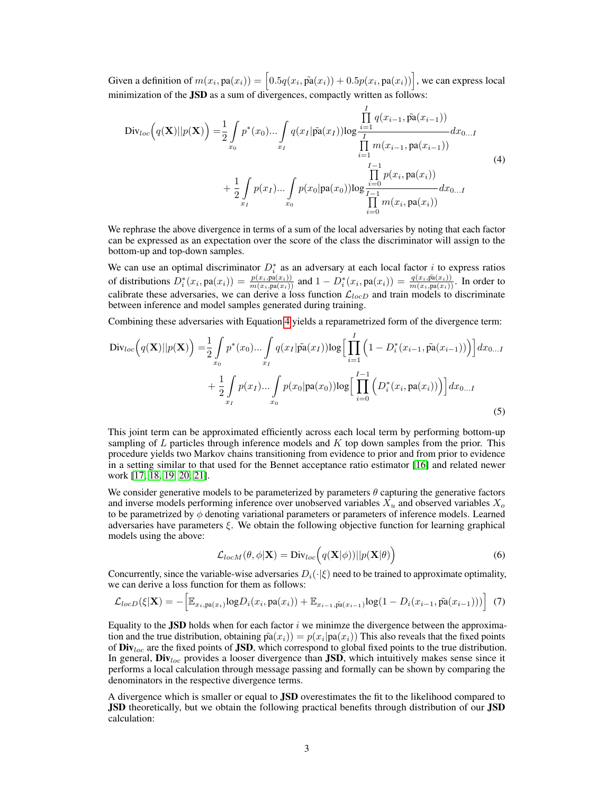Given a definition of  $m(x_i, \text{pa}(x_i)) = \left[0.5q(x_i, \tilde{\text{pa}}(x_i)) + 0.5p(x_i, \text{pa}(x_i))\right]$ , we can express local minimization of the JSD as a sum of divergences, compactly written as follows:

<span id="page-2-0"></span>
$$
Div_{loc}(q(\mathbf{X})||p(\mathbf{X})) = \frac{1}{2} \int_{x_0} p^*(x_0) \dots \int_{x_I} q(x_I | \tilde{pa}(x_I)) \log \frac{\prod_{i=1}^I q(x_{i-1}, \tilde{pa}(x_{i-1}))}{\prod_{i=1}^I m(x_{i-1}, pa(x_{i-1}))} dx_{0...I}
$$
\n
$$
+ \frac{1}{2} \int_{x_I} p(x_I) \dots \int_{x_0} p(x_0 | pa(x_0)) \log \frac{\prod_{i=0}^{I-1} p(x_i, pa(x_i))}{\prod_{i=0}^I m(x_i, pa(x_i))} dx_{0...I}
$$
\n(4)

We rephrase the above divergence in terms of a sum of the local adversaries by noting that each factor can be expressed as an expectation over the score of the class the discriminator will assign to the bottom-up and top-down samples.

We can use an optimal discriminator  $D_i^*$  as an adversary at each local factor i to express ratios of distributions  $D_i^*(x_i, \text{pa}(x_i)) = \frac{p(x_i, \text{pa}(x_i))}{m(x_i, \text{pa}(x_i))}$  and  $1 - D_i^*(x_i, \text{pa}(x_i)) = \frac{q(x_i, \text{p}\hat{a}(x_i))}{m(x_i, \text{pa}(x_i))}$ . In order to calibrate these adversaries, we can derive a loss function  $\mathcal{L}_{locD}$  and train models to discriminate between inference and model samples generated during training.

Combining these adversaries with Equation [4](#page-2-0) yields a reparametrized form of the divergence term:

$$
\text{Div}_{loc}\Big(q(\mathbf{X})||p(\mathbf{X})\Big) = \frac{1}{2} \int_{x_0} p^*(x_0) \dots \int_{x_I} q(x_I | \tilde{\mathbf{pa}}(x_I)) \log \Big[\prod_{i=1}^I \Big(1 - D_i^*(x_{i-1}, \tilde{\mathbf{pa}}(x_{i-1}))\Big)\Big] dx_{0...I} + \frac{1}{2} \int_{x_I} p(x_I) \dots \int_{x_0} p(x_0 | \mathbf{pa}(x_0)) \log \Big[\prod_{i=0}^{I-1} \Big(D_i^*(x_i, \mathbf{pa}(x_i))\Big)\Big] dx_{0...I}
$$
\n(5)

This joint term can be approximated efficiently across each local term by performing bottom-up sampling of  $L$  particles through inference models and  $K$  top down samples from the prior. This procedure yields two Markov chains transitioning from evidence to prior and from prior to evidence in a setting similar to that used for the Bennet acceptance ratio estimator [\[16\]](#page-4-15) and related newer work [\[17,](#page-4-16) [18,](#page-4-17) [19,](#page-4-18) [20,](#page-4-19) [21\]](#page-4-20).

We consider generative models to be parameterized by parameters  $\theta$  capturing the generative factors and inverse models performing inference over unobserved variables  $X_u$  and observed variables  $X_o$ to be parametrized by  $\phi$  denoting variational parameters or parameters of inference models. Learned adversaries have parameters  $\xi$ . We obtain the following objective function for learning graphical models using the above:

$$
\mathcal{L}_{locM}(\theta,\phi|\mathbf{X}) = \text{Div}_{loc}\Big(q(\mathbf{X}|\phi))||p(\mathbf{X}|\theta)\Big) \tag{6}
$$

Concurrently, since the variable-wise adversaries  $D_i(\cdot|\xi)$  need to be trained to approximate optimality, we can derive a loss function for them as follows:

h

$$
\mathcal{L}_{locD}(\xi|\mathbf{X}) = -\Big[\mathbb{E}_{x_i, \text{pa}(x_i)}\log D_i(x_i, \text{pa}(x_i)) + \mathbb{E}_{x_{i-1}, \tilde{\text{pa}}(x_{i-1})}\log(1 - D_i(x_{i-1}, \tilde{\text{pa}}(x_{i-1})))\Big] \tag{7}
$$

Equality to the JSD holds when for each factor  $i$  we minimze the divergence between the approximation and the true distribution, obtaining  $\tilde{pa}(x_i) = p(x_i|pa(x_i))$  This also reveals that the fixed points of  $\text{Div}_{loc}$  are the fixed points of JSD, which correspond to global fixed points to the true distribution. In general,  $\text{Div}_{loc}$  provides a looser divergence than JSD, which intuitively makes sense since it performs a local calculation through message passing and formally can be shown by comparing the denominators in the respective divergence terms.

A divergence which is smaller or equal to JSD overestimates the fit to the likelihood compared to **JSD** theoretically, but we obtain the following practical benefits through distribution of our **JSD** calculation: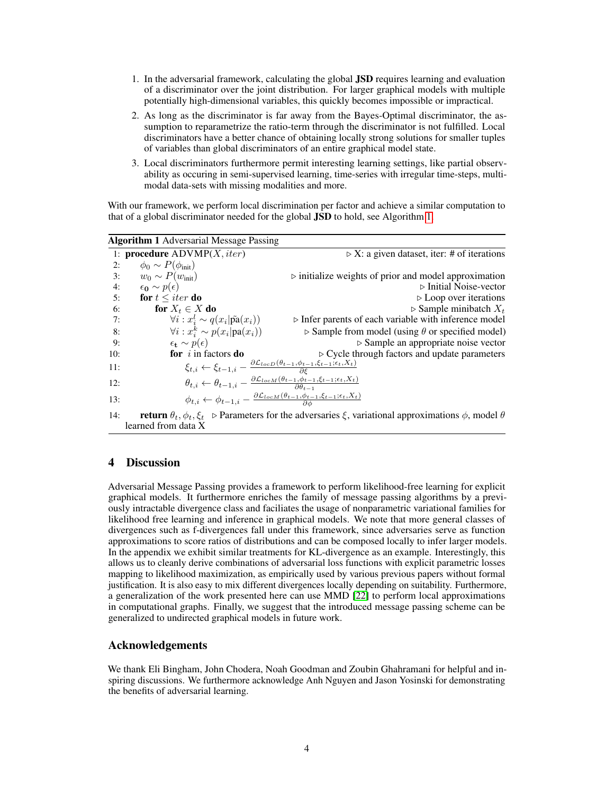- 1. In the adversarial framework, calculating the global JSD requires learning and evaluation of a discriminator over the joint distribution. For larger graphical models with multiple potentially high-dimensional variables, this quickly becomes impossible or impractical.
- 2. As long as the discriminator is far away from the Bayes-Optimal discriminator, the assumption to reparametrize the ratio-term through the discriminator is not fulfilled. Local discriminators have a better chance of obtaining locally strong solutions for smaller tuples of variables than global discriminators of an entire graphical model state.
- 3. Local discriminators furthermore permit interesting learning settings, like partial observability as occuring in semi-supervised learning, time-series with irregular time-steps, multimodal data-sets with missing modalities and more.

With our framework, we perform local discrimination per factor and achieve a similar computation to that of a global discriminator needed for the global JSD to hold, see Algorithm [1.](#page-3-0)

<span id="page-3-0"></span>

| <b>Algorithm 1</b> Adversarial Message Passing |                                                                                                                                                            |                                                                        |
|------------------------------------------------|------------------------------------------------------------------------------------------------------------------------------------------------------------|------------------------------------------------------------------------|
|                                                | 1: <b>procedure</b> $\text{ADVMP}(X, iter)$                                                                                                                | $\triangleright$ X: a given dataset, iter: # of iterations             |
| 2:                                             | $\phi_0 \sim P(\phi_{\text{init}})$                                                                                                                        |                                                                        |
| 3:                                             | $w_0 \sim P(w_{\text{init}})$                                                                                                                              | $\triangleright$ initialize weights of prior and model approximation   |
| 4:                                             | $\epsilon_0 \sim p(\epsilon)$                                                                                                                              | $\triangleright$ Initial Noise-vector                                  |
| 5:                                             | for $t \leq iter$ do                                                                                                                                       | $\triangleright$ Loop over iterations                                  |
| 6:                                             | for $X_t \in X$ do                                                                                                                                         | $\triangleright$ Sample minibatch $X_t$                                |
| 7:                                             | $\forall i: x_i^l \sim q(x_i \tilde{\text{pa}}(x_i))$                                                                                                      | $\triangleright$ Infer parents of each variable with inference model   |
| 8:                                             | $\forall i: x_i^k \sim p(x_i   \text{pa}(x_i))$                                                                                                            | $\triangleright$ Sample from model (using $\theta$ or specified model) |
| 9:                                             | $\epsilon_t \sim p(\epsilon)$                                                                                                                              | $\triangleright$ Sample an appropriate noise vector                    |
| 10:                                            | for $i$ in factors do                                                                                                                                      | $\triangleright$ Cycle through factors and update parameters           |
| 11:                                            | $\xi_{t,i} \leftarrow \xi_{t-1,i} - \frac{\partial \mathcal{L}_{locD}(\theta_{t-1}, \phi_{t-1}, \xi_{t-1}; \epsilon_t, X_t)}{\partial \epsilon}$           |                                                                        |
| 12:                                            | $\theta_{t,i} \leftarrow \theta_{t-1,i} - \frac{\partial \mathcal{L}_{locM}(\theta_{t-1}, \phi_{t-1}, \xi_{t-1}; \epsilon_t, X_t)}{\partial \theta_{t-1}}$ |                                                                        |
| 13:                                            | $\phi_{t,i} \leftarrow \phi_{t-1,i} - \frac{\partial \mathcal{L}_{locM}(\theta_{t-1}, \phi_{t-1}, \xi_{t-1}, \epsilon_t, X_t)}{\partial \phi}$             |                                                                        |
| 14:                                            | <b>return</b> $\theta_t$ , $\phi_t$ , $\xi_t$ $\triangleright$ Parameters for the adversaries $\xi$ , variational approximations $\phi$ , model $\theta$   |                                                                        |
| learned from data X                            |                                                                                                                                                            |                                                                        |

# 4 Discussion

Adversarial Message Passing provides a framework to perform likelihood-free learning for explicit graphical models. It furthermore enriches the family of message passing algorithms by a previously intractable divergence class and faciliates the usage of nonparametric variational families for likelihood free learning and inference in graphical models. We note that more general classes of divergences such as f-divergences fall under this framework, since adversaries serve as function approximations to score ratios of distributions and can be composed locally to infer larger models. In the appendix we exhibit similar treatments for KL-divergence as an example. Interestingly, this allows us to cleanly derive combinations of adversarial loss functions with explicit parametric losses mapping to likelihood maximization, as empirically used by various previous papers without formal justification. It is also easy to mix different divergences locally depending on suitability. Furthermore, a generalization of the work presented here can use MMD [\[22\]](#page-5-0) to perform local approximations in computational graphs. Finally, we suggest that the introduced message passing scheme can be generalized to undirected graphical models in future work.

## Acknowledgements

We thank Eli Bingham, John Chodera, Noah Goodman and Zoubin Ghahramani for helpful and inspiring discussions. We furthermore acknowledge Anh Nguyen and Jason Yosinski for demonstrating the benefits of adversarial learning.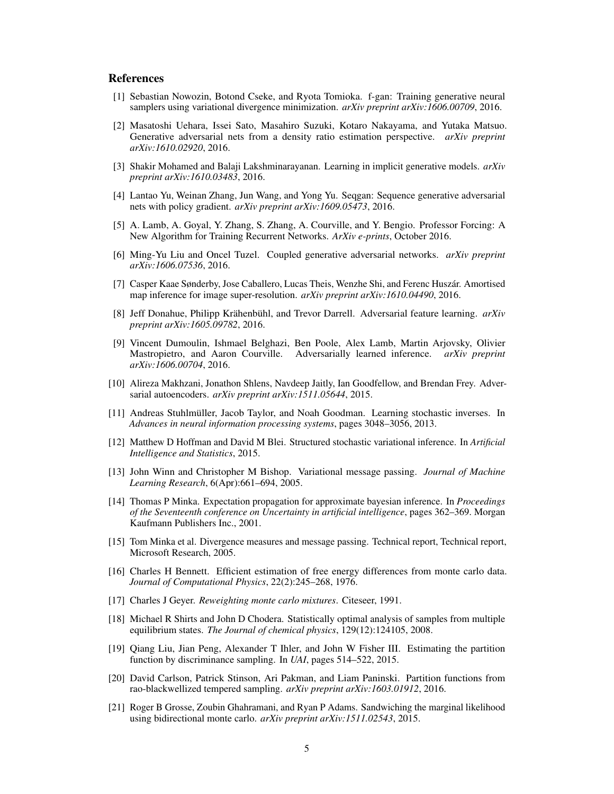## References

- <span id="page-4-0"></span>[1] Sebastian Nowozin, Botond Cseke, and Ryota Tomioka. f-gan: Training generative neural samplers using variational divergence minimization. *arXiv preprint arXiv:1606.00709*, 2016.
- <span id="page-4-1"></span>[2] Masatoshi Uehara, Issei Sato, Masahiro Suzuki, Kotaro Nakayama, and Yutaka Matsuo. Generative adversarial nets from a density ratio estimation perspective. *arXiv preprint arXiv:1610.02920*, 2016.
- <span id="page-4-2"></span>[3] Shakir Mohamed and Balaji Lakshminarayanan. Learning in implicit generative models. *arXiv preprint arXiv:1610.03483*, 2016.
- <span id="page-4-3"></span>[4] Lantao Yu, Weinan Zhang, Jun Wang, and Yong Yu. Seqgan: Sequence generative adversarial nets with policy gradient. *arXiv preprint arXiv:1609.05473*, 2016.
- <span id="page-4-4"></span>[5] A. Lamb, A. Goyal, Y. Zhang, S. Zhang, A. Courville, and Y. Bengio. Professor Forcing: A New Algorithm for Training Recurrent Networks. *ArXiv e-prints*, October 2016.
- <span id="page-4-5"></span>[6] Ming-Yu Liu and Oncel Tuzel. Coupled generative adversarial networks. *arXiv preprint arXiv:1606.07536*, 2016.
- <span id="page-4-6"></span>[7] Casper Kaae Sønderby, Jose Caballero, Lucas Theis, Wenzhe Shi, and Ferenc Huszár. Amortised map inference for image super-resolution. *arXiv preprint arXiv:1610.04490*, 2016.
- <span id="page-4-7"></span>[8] Jeff Donahue, Philipp Krähenbühl, and Trevor Darrell. Adversarial feature learning. *arXiv preprint arXiv:1605.09782*, 2016.
- <span id="page-4-8"></span>[9] Vincent Dumoulin, Ishmael Belghazi, Ben Poole, Alex Lamb, Martin Arjovsky, Olivier Mastropietro, and Aaron Courville. Adversarially learned inference. *arXiv preprint arXiv:1606.00704*, 2016.
- <span id="page-4-9"></span>[10] Alireza Makhzani, Jonathon Shlens, Navdeep Jaitly, Ian Goodfellow, and Brendan Frey. Adversarial autoencoders. *arXiv preprint arXiv:1511.05644*, 2015.
- <span id="page-4-10"></span>[11] Andreas Stuhlmüller, Jacob Taylor, and Noah Goodman. Learning stochastic inverses. In *Advances in neural information processing systems*, pages 3048–3056, 2013.
- <span id="page-4-11"></span>[12] Matthew D Hoffman and David M Blei. Structured stochastic variational inference. In *Artificial Intelligence and Statistics*, 2015.
- <span id="page-4-12"></span>[13] John Winn and Christopher M Bishop. Variational message passing. *Journal of Machine Learning Research*, 6(Apr):661–694, 2005.
- <span id="page-4-13"></span>[14] Thomas P Minka. Expectation propagation for approximate bayesian inference. In *Proceedings of the Seventeenth conference on Uncertainty in artificial intelligence*, pages 362–369. Morgan Kaufmann Publishers Inc., 2001.
- <span id="page-4-14"></span>[15] Tom Minka et al. Divergence measures and message passing. Technical report, Technical report, Microsoft Research, 2005.
- <span id="page-4-15"></span>[16] Charles H Bennett. Efficient estimation of free energy differences from monte carlo data. *Journal of Computational Physics*, 22(2):245–268, 1976.
- <span id="page-4-16"></span>[17] Charles J Geyer. *Reweighting monte carlo mixtures*. Citeseer, 1991.
- <span id="page-4-17"></span>[18] Michael R Shirts and John D Chodera. Statistically optimal analysis of samples from multiple equilibrium states. *The Journal of chemical physics*, 129(12):124105, 2008.
- <span id="page-4-18"></span>[19] Qiang Liu, Jian Peng, Alexander T Ihler, and John W Fisher III. Estimating the partition function by discriminance sampling. In *UAI*, pages 514–522, 2015.
- <span id="page-4-19"></span>[20] David Carlson, Patrick Stinson, Ari Pakman, and Liam Paninski. Partition functions from rao-blackwellized tempered sampling. *arXiv preprint arXiv:1603.01912*, 2016.
- <span id="page-4-20"></span>[21] Roger B Grosse, Zoubin Ghahramani, and Ryan P Adams. Sandwiching the marginal likelihood using bidirectional monte carlo. *arXiv preprint arXiv:1511.02543*, 2015.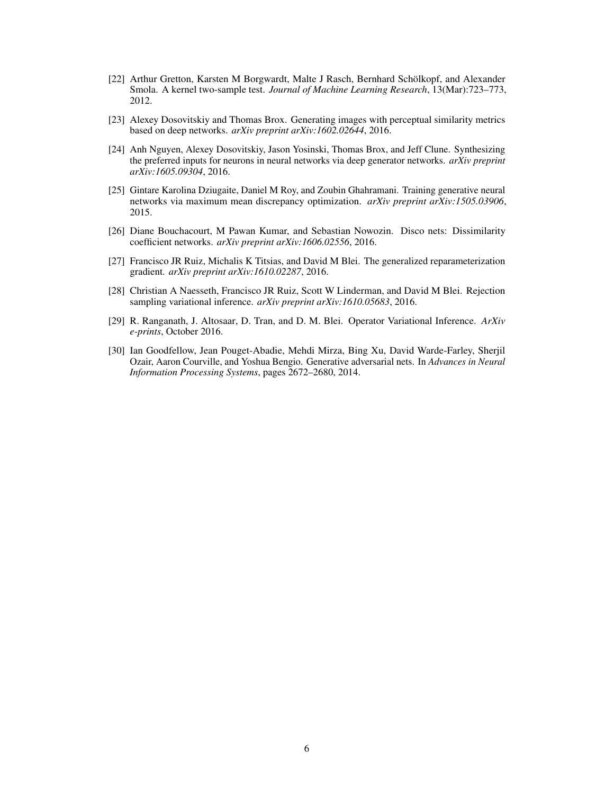- <span id="page-5-0"></span>[22] Arthur Gretton, Karsten M Borgwardt, Malte J Rasch, Bernhard Schölkopf, and Alexander Smola. A kernel two-sample test. *Journal of Machine Learning Research*, 13(Mar):723–773, 2012.
- <span id="page-5-1"></span>[23] Alexey Dosovitskiy and Thomas Brox. Generating images with perceptual similarity metrics based on deep networks. *arXiv preprint arXiv:1602.02644*, 2016.
- <span id="page-5-2"></span>[24] Anh Nguyen, Alexey Dosovitskiy, Jason Yosinski, Thomas Brox, and Jeff Clune. Synthesizing the preferred inputs for neurons in neural networks via deep generator networks. *arXiv preprint arXiv:1605.09304*, 2016.
- <span id="page-5-3"></span>[25] Gintare Karolina Dziugaite, Daniel M Roy, and Zoubin Ghahramani. Training generative neural networks via maximum mean discrepancy optimization. *arXiv preprint arXiv:1505.03906*, 2015.
- <span id="page-5-4"></span>[26] Diane Bouchacourt, M Pawan Kumar, and Sebastian Nowozin. Disco nets: Dissimilarity coefficient networks. *arXiv preprint arXiv:1606.02556*, 2016.
- <span id="page-5-5"></span>[27] Francisco JR Ruiz, Michalis K Titsias, and David M Blei. The generalized reparameterization gradient. *arXiv preprint arXiv:1610.02287*, 2016.
- <span id="page-5-6"></span>[28] Christian A Naesseth, Francisco JR Ruiz, Scott W Linderman, and David M Blei. Rejection sampling variational inference. *arXiv preprint arXiv:1610.05683*, 2016.
- <span id="page-5-7"></span>[29] R. Ranganath, J. Altosaar, D. Tran, and D. M. Blei. Operator Variational Inference. *ArXiv e-prints*, October 2016.
- <span id="page-5-8"></span>[30] Ian Goodfellow, Jean Pouget-Abadie, Mehdi Mirza, Bing Xu, David Warde-Farley, Sherjil Ozair, Aaron Courville, and Yoshua Bengio. Generative adversarial nets. In *Advances in Neural Information Processing Systems*, pages 2672–2680, 2014.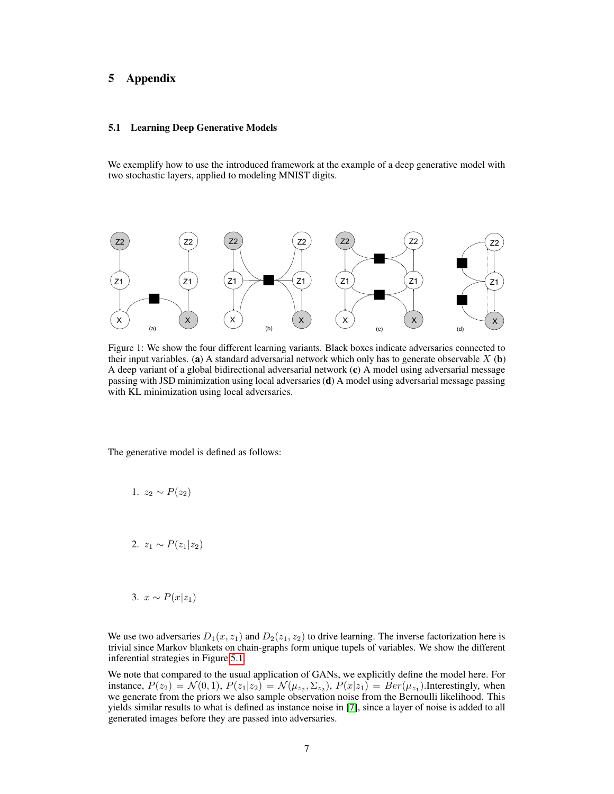# 5 Appendix

## <span id="page-6-0"></span>5.1 Learning Deep Generative Models

We exemplify how to use the introduced framework at the example of a deep generative model with two stochastic layers, applied to modeling MNIST digits.



Figure 1: We show the four different learning variants. Black boxes indicate adversaries connected to their input variables. (a) A standard adversarial network which only has to generate observable  $X$  (b) A deep variant of a global bidirectional adversarial network (c) A model using adversarial message passing with JSD minimization using local adversaries (d) A model using adversarial message passing with KL minimization using local adversaries.

The generative model is defined as follows:

$$
1. z_2 \sim P(z_2)
$$

2.  $z_1 \sim P(z_1|z_2)$ 

$$
3. \ x \sim P(x|z_1)
$$

We use two adversaries  $D_1(x, z_1)$  and  $D_2(z_1, z_2)$  to drive learning. The inverse factorization here is trivial since Markov blankets on chain-graphs form unique tupels of variables. We show the different inferential strategies in Figure [5.1.](#page-6-0)

We note that compared to the usual application of GANs, we explicitly define the model here. For instance,  $P(z_2) = \mathcal{N}(0,1)$ ,  $P(z_1|z_2) = \mathcal{N}(\mu_{z_2}, \Sigma_{z_2})$ ,  $P(x|z_1) = Ber(\mu_{z_1})$ . Interestingly, when we generate from the priors we also sample observation noise from the Bernoulli likelihood. This yields similar results to what is defined as instance noise in [\[7\]](#page-4-6), since a layer of noise is added to all generated images before they are passed into adversaries.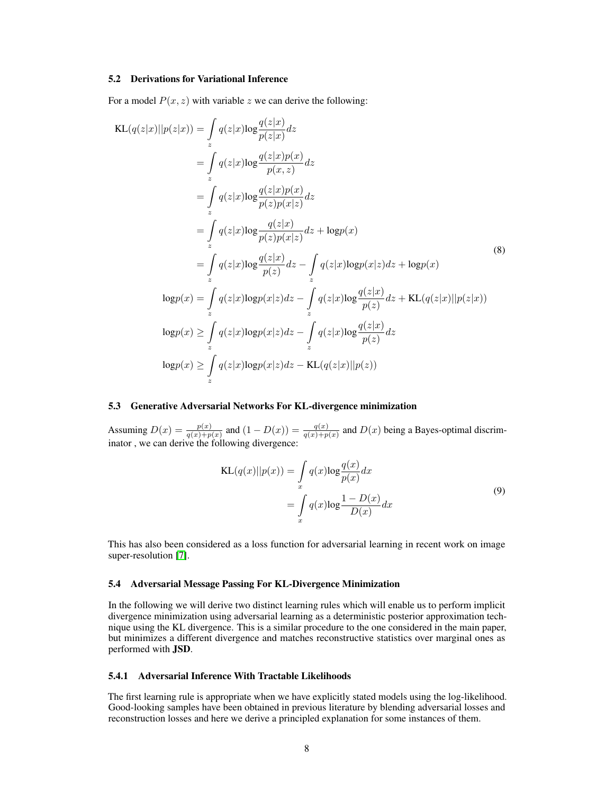#### 5.2 Derivations for Variational Inference

For a model  $P(x, z)$  with variable z we can derive the following:

$$
KL(q(z|x)||p(z|x)) = \int_{z} q(z|x) \log \frac{q(z|x)}{p(z|x)} dz
$$
  
\n
$$
= \int_{z} q(z|x) \log \frac{q(z|x)p(x)}{p(x,z)} dz
$$
  
\n
$$
= \int_{z} q(z|x) \log \frac{q(z|x)p(x)}{p(z)p(x|z)} dz
$$
  
\n
$$
= \int_{z} q(z|x) \log \frac{q(z|x)}{p(z)p(x|z)} dz + \log p(x)
$$
  
\n
$$
= \int_{z} q(z|x) \log \frac{q(z|x)}{p(z)} dz - \int_{z} q(z|x) \log p(x|z) dz + \log p(x)
$$
  
\n
$$
\log p(x) = \int_{z} q(z|x) \log p(x|z) dz - \int_{z} q(z|x) \log \frac{q(z|x)}{p(z)} dz + KL(q(z|x)||p(z|x))
$$
  
\n
$$
\log p(x) \ge \int_{z} q(z|x) \log p(x|z) dz - \int_{z} q(z|x) \log \frac{q(z|x)}{p(z)} dz
$$
  
\n
$$
\log p(x) \ge \int_{z} q(z|x) \log p(x|z) dz - KL(q(z|x)||p(z))
$$

### 5.3 Generative Adversarial Networks For KL-divergence minimization

Assuming  $D(x) = \frac{p(x)}{q(x)+p(x)}$  and  $(1 - D(x)) = \frac{q(x)}{q(x)+p(x)}$  and  $D(x)$  being a Bayes-optimal discriminator , we can derive the following divergence:

$$
KL(q(x)||p(x)) = \int_{x} q(x) \log \frac{q(x)}{p(x)} dx
$$

$$
= \int_{x} q(x) \log \frac{1 - D(x)}{D(x)} dx
$$
(9)

This has also been considered as a loss function for adversarial learning in recent work on image super-resolution [\[7\]](#page-4-6).

### 5.4 Adversarial Message Passing For KL-Divergence Minimization

In the following we will derive two distinct learning rules which will enable us to perform implicit divergence minimization using adversarial learning as a deterministic posterior approximation technique using the KL divergence. This is a similar procedure to the one considered in the main paper, but minimizes a different divergence and matches reconstructive statistics over marginal ones as performed with JSD.

#### <span id="page-7-0"></span>5.4.1 Adversarial Inference With Tractable Likelihoods

The first learning rule is appropriate when we have explicitly stated models using the log-likelihood. Good-looking samples have been obtained in previous literature by blending adversarial losses and reconstruction losses and here we derive a principled explanation for some instances of them.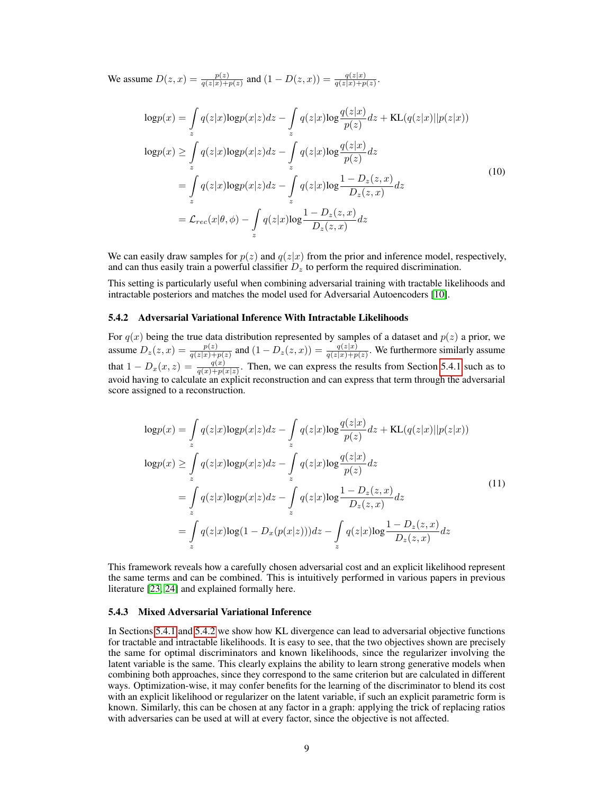We assume  $D(z, x) = \frac{p(z)}{q(z|x) + p(z)}$  and  $(1 - D(z, x)) = \frac{q(z|x)}{q(z|x) + p(z)}$ .

$$
\begin{split} \log p(x) &= \int_{z} q(z|x) \log p(x|z) dz - \int_{z} q(z|x) \log \frac{q(z|x)}{p(z)} dz + \text{KL}(q(z|x) || p(z|x)) \\ \log p(x) &\geq \int_{z} q(z|x) \log p(x|z) dz - \int_{z} q(z|x) \log \frac{q(z|x)}{p(z)} dz \\ &= \int_{z} q(z|x) \log p(x|z) dz - \int_{z} q(z|x) \log \frac{1 - D_{z}(z,x)}{D_{z}(z,x)} dz \\ &= \mathcal{L}_{rec}(x|\theta, \phi) - \int_{z} q(z|x) \log \frac{1 - D_{z}(z,x)}{D_{z}(z,x)} dz \end{split} \tag{10}
$$

We can easily draw samples for  $p(z)$  and  $q(z|x)$  from the prior and inference model, respectively, and can thus easily train a powerful classifier  $D<sub>z</sub>$  to perform the required discrimination.

This setting is particularly useful when combining adversarial training with tractable likelihoods and intractable posteriors and matches the model used for Adversarial Autoencoders [\[10\]](#page-4-9).

#### <span id="page-8-0"></span>5.4.2 Adversarial Variational Inference With Intractable Likelihoods

For  $q(x)$  being the true data distribution represented by samples of a dataset and  $p(z)$  a prior, we assume  $D_z(z, x) = \frac{p(z)}{q(z|x) + p(z)}$  and  $(1 - D_z(z, x)) = \frac{q(z|x)}{q(z|x) + p(z)}$ . We furthermore similarly assume that  $1 - D_x(x, z) = \frac{q(x)}{q(x) + p(x|z)}$ . Then, we can express the results from Section [5.4.1](#page-7-0) such as to avoid having to calculate an explicit reconstruction and can express that term through the adversarial score assigned to a reconstruction.

$$
\begin{split} \log p(x) &= \int_{z} q(z|x) \log p(x|z) dz - \int_{z} q(z|x) \log \frac{q(z|x)}{p(z)} dz + \text{KL}(q(z|x) || p(z|x)) \\ \log p(x) &\geq \int_{z} q(z|x) \log p(x|z) dz - \int_{z} q(z|x) \log \frac{q(z|x)}{p(z)} dz \\ &= \int_{z} q(z|x) \log p(x|z) dz - \int_{z} q(z|x) \log \frac{1 - D_{z}(z,x)}{D_{z}(z,x)} dz \\ &= \int_{z} q(z|x) \log (1 - D_{x}(p(x|z))) dz - \int_{z} q(z|x) \log \frac{1 - D_{z}(z,x)}{D_{z}(z,x)} dz \end{split} \tag{11}
$$

This framework reveals how a carefully chosen adversarial cost and an explicit likelihood represent the same terms and can be combined. This is intuitively performed in various papers in previous literature [\[23,](#page-5-1) [24\]](#page-5-2) and explained formally here.

#### 5.4.3 Mixed Adversarial Variational Inference

In Sections [5.4.1](#page-7-0) and [5.4.2](#page-8-0) we show how KL divergence can lead to adversarial objective functions for tractable and intractable likelihoods. It is easy to see, that the two objectives shown are precisely the same for optimal discriminators and known likelihoods, since the regularizer involving the latent variable is the same. This clearly explains the ability to learn strong generative models when combining both approaches, since they correspond to the same criterion but are calculated in different ways. Optimization-wise, it may confer benefits for the learning of the discriminator to blend its cost with an explicit likelihood or regularizer on the latent variable, if such an explicit parametric form is known. Similarly, this can be chosen at any factor in a graph: applying the trick of replacing ratios with adversaries can be used at will at every factor, since the objective is not affected.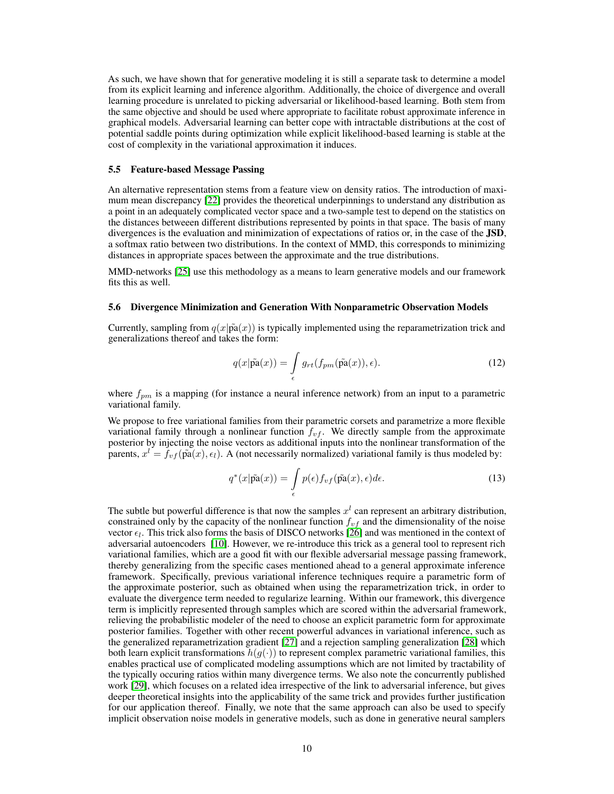As such, we have shown that for generative modeling it is still a separate task to determine a model from its explicit learning and inference algorithm. Additionally, the choice of divergence and overall learning procedure is unrelated to picking adversarial or likelihood-based learning. Both stem from the same objective and should be used where appropriate to facilitate robust approximate inference in graphical models. Adversarial learning can better cope with intractable distributions at the cost of potential saddle points during optimization while explicit likelihood-based learning is stable at the cost of complexity in the variational approximation it induces.

#### 5.5 Feature-based Message Passing

An alternative representation stems from a feature view on density ratios. The introduction of maximum mean discrepancy [\[22\]](#page-5-0) provides the theoretical underpinnings to understand any distribution as a point in an adequately complicated vector space and a two-sample test to depend on the statistics on the distances betweeen different distributions represented by points in that space. The basis of many divergences is the evaluation and minimization of expectations of ratios or, in the case of the JSD, a softmax ratio between two distributions. In the context of MMD, this corresponds to minimizing distances in appropriate spaces between the approximate and the true distributions.

MMD-networks [\[25\]](#page-5-3) use this methodology as a means to learn generative models and our framework fits this as well.

## 5.6 Divergence Minimization and Generation With Nonparametric Observation Models

Currently, sampling from  $q(x|\tilde{pa}(x))$  is typically implemented using the reparametrization trick and generalizations thereof and takes the form:

$$
q(x|\tilde{\mathbf{pa}}(x)) = \int_{\epsilon} g_{rt}(f_{pm}(\tilde{\mathbf{pa}}(x)), \epsilon).
$$
 (12)

where  $f_{pm}$  is a mapping (for instance a neural inference network) from an input to a parametric variational family.

We propose to free variational families from their parametric corsets and parametrize a more flexible variational family through a nonlinear function  $f_{vf}$ . We directly sample from the approximate posterior by injecting the noise vectors as additional inputs into the nonlinear transformation of the parents,  $x^l = f_{vf}(\tilde{pa}(x), \epsilon_l)$ . A (not necessarily normalized) variational family is thus modeled by:

$$
q^*(x|\tilde{\mathbf{pa}}(x)) = \int_{\epsilon} p(\epsilon) f_{vf}(\tilde{\mathbf{pa}}(x), \epsilon) d\epsilon.
$$
 (13)

The subtle but powerful difference is that now the samples  $x<sup>l</sup>$  can represent an arbitrary distribution, constrained only by the capacity of the nonlinear function  $f_{vf}$  and the dimensionality of the noise vector  $\epsilon_l$ . This trick also forms the basis of DISCO networks [\[26\]](#page-5-4) and was mentioned in the context of adversarial autoencoders [\[10\]](#page-4-9). However, we re-introduce this trick as a general tool to represent rich variational families, which are a good fit with our flexible adversarial message passing framework, thereby generalizing from the specific cases mentioned ahead to a general approximate inference framework. Specifically, previous variational inference techniques require a parametric form of the approximate posterior, such as obtained when using the reparametrization trick, in order to evaluate the divergence term needed to regularize learning. Within our framework, this divergence term is implicitly represented through samples which are scored within the adversarial framework, relieving the probabilistic modeler of the need to choose an explicit parametric form for approximate posterior families. Together with other recent powerful advances in variational inference, such as the generalized reparametrization gradient [\[27\]](#page-5-5) and a rejection sampling generalization [\[28\]](#page-5-6) which both learn explicit transformations  $h(g(\cdot))$  to represent complex parametric variational families, this enables practical use of complicated modeling assumptions which are not limited by tractability of the typically occuring ratios within many divergence terms. We also note the concurrently published work [\[29\]](#page-5-7), which focuses on a related idea irrespective of the link to adversarial inference, but gives deeper theoretical insights into the applicability of the same trick and provides further justification for our application thereof. Finally, we note that the same approach can also be used to specify implicit observation noise models in generative models, such as done in generative neural samplers